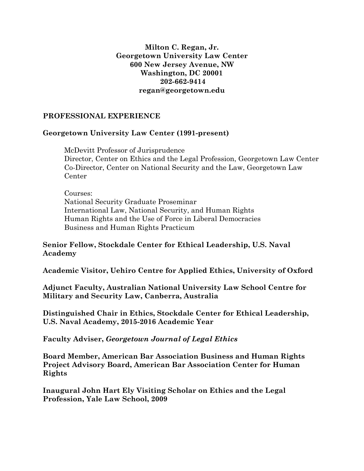#### **Milton C. Regan, Jr. Georgetown University Law Center 600 New Jersey Avenue, NW Washington, DC 20001 202-662-9414 regan@georgetown.edu**

#### **PROFESSIONAL EXPERIENCE**

#### **Georgetown University Law Center (1991-present)**

McDevitt Professor of Jurisprudence Director, Center on Ethics and the Legal Profession, Georgetown Law Center Co-Director, Center on National Security and the Law, Georgetown Law Center

Courses: National Security Graduate Proseminar International Law, National Security, and Human Rights Human Rights and the Use of Force in Liberal Democracies Business and Human Rights Practicum

#### **Senior Fellow, Stockdale Center for Ethical Leadership, U.S. Naval Academy**

**Academic Visitor, Uehiro Centre for Applied Ethics, University of Oxford**

**Adjunct Faculty, Australian National University Law School Centre for Military and Security Law, Canberra, Australia**

**Distinguished Chair in Ethics, Stockdale Center for Ethical Leadership, U.S. Naval Academy, 2015-2016 Academic Year**

**Faculty Adviser,** *Georgetown Journal of Legal Ethics*

**Board Member, American Bar Association Business and Human Rights Project Advisory Board, American Bar Association Center for Human Rights**

**Inaugural John Hart Ely Visiting Scholar on Ethics and the Legal Profession, Yale Law School, 2009**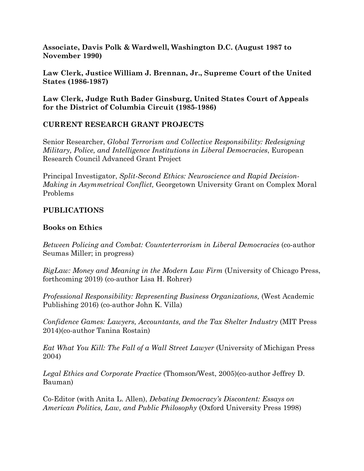**Associate, Davis Polk & Wardwell, Washington D.C. (August 1987 to November 1990)**

**Law Clerk, Justice William J. Brennan, Jr., Supreme Court of the United States (1986-1987)** 

**Law Clerk, Judge Ruth Bader Ginsburg, United States Court of Appeals for the District of Columbia Circuit (1985-1986)**

# **CURRENT RESEARCH GRANT PROJECTS**

Senior Researcher, *Global Terrorism and Collective Responsibility: Redesigning Military, Police, and Intelligence Institutions in Liberal Democracies*, European Research Council Advanced Grant Project

Principal Investigator, *Split-Second Ethics: Neuroscience and Rapid Decision-Making in Asymmetrical Conflict,* Georgetown University Grant on Complex Moral Problems

# **PUBLICATIONS**

## **Books on Ethics**

*Between Policing and Combat: Counterterrorism in Liberal Democracies* (co-author Seumas Miller; in progress)

*BigLaw: Money and Meaning in the Modern Law Firm* (University of Chicago Press, forthcoming 2019) (co-author Lisa H. Rohrer)

*Professional Responsibility: Representing Business Organizations,* (West Academic Publishing 2016) (co-author John K. Villa)

*Confidence Games: Lawyers, Accountants, and the Tax Shelter Industry* (MIT Press 2014)(co-author Tanina Rostain)

*Eat What You Kill: The Fall of a Wall Street Lawyer* (University of Michigan Press 2004)

*Legal Ethics and Corporate Practice* (Thomson/West, 2005)(co-author Jeffrey D. Bauman)

Co-Editor (with Anita L. Allen), *Debating Democracy's Discontent: Essays on American Politics, Law, and Public Philosophy* (Oxford University Press 1998)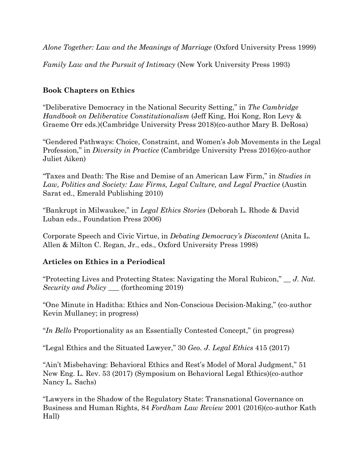*Alone Together: Law and the Meanings of Marriage* (Oxford University Press 1999)

*Family Law and the Pursuit of Intimacy* (New York University Press 1993)

## **Book Chapters on Ethics**

"Deliberative Democracy in the National Security Setting," in *The Cambridge Handbook on Deliberative Constitutionalism* (Jeff King, Hoi Kong, Ron Levy & Graeme Orr eds.)(Cambridge University Press 2018)(co-author Mary B. DeRosa)

"Gendered Pathways: Choice, Constraint, and Women's Job Movements in the Legal Profession," in *Diversity in Practice* (Cambridge University Press 2016)(co-author Juliet Aiken)

"Taxes and Death: The Rise and Demise of an American Law Firm," in *Studies in Law, Politics and Society: Law Firms, Legal Culture, and Legal Practice* (Austin Sarat ed., Emerald Publishing 2010)

"Bankrupt in Milwaukee," in *Legal Ethics Stories* (Deborah L. Rhode & David Luban eds., Foundation Press 2006)

Corporate Speech and Civic Virtue, in *Debating Democracy's Discontent* (Anita L. Allen & Milton C. Regan, Jr., eds., Oxford University Press 1998)

## **Articles on Ethics in a Periodical**

"Protecting Lives and Protecting States: Navigating the Moral Rubicon," \_\_ *J. Nat. Security and Policy* \_\_\_ (forthcoming 2019)

"One Minute in Haditha: Ethics and Non-Conscious Decision-Making," (co-author Kevin Mullaney; in progress)

"*In Bello* Proportionality as an Essentially Contested Concept," (in progress)

"Legal Ethics and the Situated Lawyer," 30 *Geo. J. Legal Ethics* 415 (2017)

"Ain't Misbehaving: Behavioral Ethics and Rest's Model of Moral Judgment," 51 New Eng. L. Rev. 53 (2017) (Symposium on Behavioral Legal Ethics)(co-author Nancy L. Sachs)

"Lawyers in the Shadow of the Regulatory State: Transnational Governance on Business and Human Rights, 84 *Fordham Law Review* 2001 (2016)(co-author Kath Hall)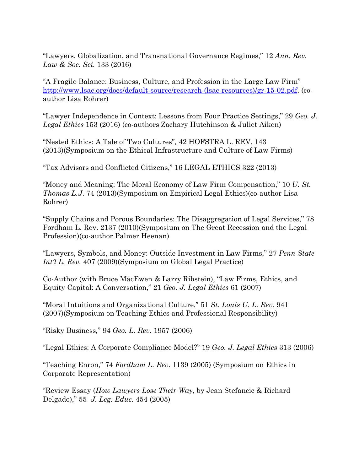"Lawyers, Globalization, and Transnational Governance Regimes," 12 *Ann. Rev. Law & Soc. Sci.* 133 (2016)

"A Fragile Balance: Business, Culture, and Profession in the Large Law Firm" [http://www.lsac.org/docs/default-source/research-\(lsac-resources\)/gr-15-02.pdf.](http://www.lsac.org/docs/default-source/research-(lsac-resources)/gr-15-02.pdf) (coauthor Lisa Rohrer)

"Lawyer Independence in Context: Lessons from Four Practice Settings," 29 *Geo. J. Legal Ethics* 153 (2016) (co-authors Zachary Hutchinson & Juliet Aiken)

"Nested Ethics: A Tale of Two Cultures"*,* 42 HOFSTRA L. REV. 143 (2013)(Symposium on the Ethical Infrastructure and Culture of Law Firms)

"Tax Advisors and Conflicted Citizens," 16 LEGAL ETHICS 322 (2013)

"Money and Meaning: The Moral Economy of Law Firm Compensation," 10 *U. St. Thomas L.J*. 74 (2013)(Symposium on Empirical Legal Ethics)(co-author Lisa Rohrer)

"Supply Chains and Porous Boundaries: The Disaggregation of Legal Services," 78 Fordham L. Rev. 2137 (2010)(Symposium on The Great Recession and the Legal Profession)(co-author Palmer Heenan)

"Lawyers, Symbols, and Money: Outside Investment in Law Firms," 27 *Penn State Int'l L. Rev.* 407 (2009)(Symposium on Global Legal Practice)

Co-Author (with Bruce MacEwen & Larry Ribstein), "Law Firms, Ethics, and Equity Capital: A Conversation," 21 *Geo. J. Legal Ethics* 61 (2007)

"Moral Intuitions and Organizational Culture," 51 *St. Louis U. L. Rev*. 941 (2007)(Symposium on Teaching Ethics and Professional Responsibility)

"Risky Business*,*" 94 *Geo. L. Rev*. 1957 (2006)

"Legal Ethics: A Corporate Compliance Model?" 19 *Geo. J. Legal Ethics* 313 (2006)

"Teaching Enron," 74 *Fordham L. Rev*. 1139 (2005) (Symposium on Ethics in Corporate Representation)

"Review Essay (*How Lawyers Lose Their Way,* by Jean Stefancic & Richard Delgado)," 55 *J. Leg. Educ.* 454 (2005)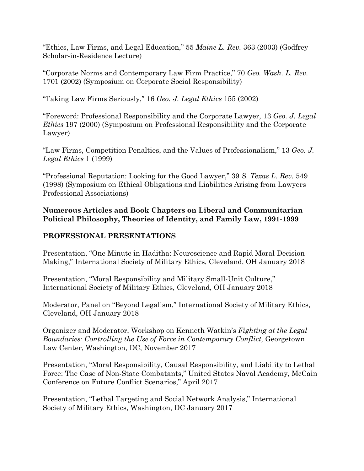"Ethics, Law Firms, and Legal Education," 55 *Maine L. Rev.* 363 (2003) (Godfrey Scholar-in-Residence Lecture)

"Corporate Norms and Contemporary Law Firm Practice," 70 *Geo. Wash. L. Rev.*  1701 (2002) (Symposium on Corporate Social Responsibility)

"Taking Law Firms Seriously," 16 *Geo. J. Legal Ethics* 155 (2002)

"Foreword: Professional Responsibility and the Corporate Lawyer, 13 *Geo. J. Legal Ethics* 197 (2000) (Symposium on Professional Responsibility and the Corporate Lawyer)

"Law Firms, Competition Penalties, and the Values of Professionalism," 13 *Geo. J. Legal Ethics* 1 (1999)

"Professional Reputation: Looking for the Good Lawyer," 39 *S. Texas L. Rev.* 549 (1998) (Symposium on Ethical Obligations and Liabilities Arising from Lawyers Professional Associations)

## **Numerous Articles and Book Chapters on Liberal and Communitarian Political Philosophy, Theories of Identity, and Family Law, 1991-1999**

# **PROFESSIONAL PRESENTATIONS**

Presentation, "One Minute in Haditha: Neuroscience and Rapid Moral Decision-Making," International Society of Military Ethics, Cleveland, OH January 2018

Presentation, "Moral Responsibility and Military Small-Unit Culture," International Society of Military Ethics, Cleveland, OH January 2018

Moderator, Panel on "Beyond Legalism," International Society of Military Ethics, Cleveland, OH January 2018

Organizer and Moderator, Workshop on Kenneth Watkin's *Fighting at the Legal Boundaries: Controlling the Use of Force in Contemporary Conflict,* Georgetown Law Center, Washington, DC, November 2017

Presentation, "Moral Responsibility, Causal Responsibility, and Liability to Lethal Force: The Case of Non-State Combatants," United States Naval Academy, McCain Conference on Future Conflict Scenarios," April 2017

Presentation, "Lethal Targeting and Social Network Analysis," International Society of Military Ethics, Washington, DC January 2017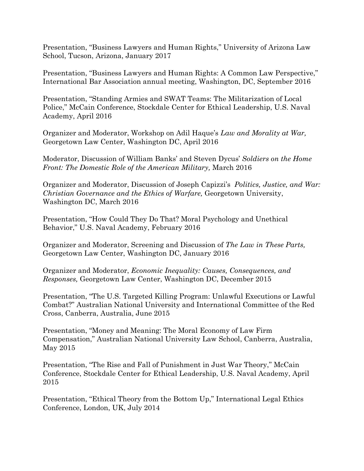Presentation, "Business Lawyers and Human Rights," University of Arizona Law School, Tucson, Arizona, January 2017

Presentation, "Business Lawyers and Human Rights: A Common Law Perspective," International Bar Association annual meeting, Washington, DC, September 2016

Presentation, "Standing Armies and SWAT Teams: The Militarization of Local Police," McCain Conference, Stockdale Center for Ethical Leadership, U.S. Naval Academy, April 2016

Organizer and Moderator, Workshop on Adil Haque's *Law and Morality at War,*  Georgetown Law Center, Washington DC, April 2016

Moderator, Discussion of William Banks' and Steven Dycus' *Soldiers on the Home Front: The Domestic Role of the American Military,* March 2016

Organizer and Moderator, Discussion of Joseph Capizzi's *Politics, Justice, and War: Christian Governance and the Ethics of Warfare,* Georgetown University, Washington DC, March 2016

Presentation, "How Could They Do That? Moral Psychology and Unethical Behavior," U.S. Naval Academy, February 2016

Organizer and Moderator, Screening and Discussion of *The Law in These Parts,*  Georgetown Law Center, Washington DC, January 2016

Organizer and Moderator, *Economic Inequality: Causes, Consequences, and Responses,* Georgetown Law Center, Washington DC, December 2015

Presentation, "The U.S. Targeted Killing Program: Unlawful Executions or Lawful Combat?" Australian National University and International Committee of the Red Cross, Canberra, Australia, June 2015

Presentation, "Money and Meaning: The Moral Economy of Law Firm Compensation," Australian National University Law School, Canberra, Australia, May 2015

Presentation, "The Rise and Fall of Punishment in Just War Theory," McCain Conference, Stockdale Center for Ethical Leadership, U.S. Naval Academy, April 2015

Presentation, "Ethical Theory from the Bottom Up," International Legal Ethics Conference, London, UK, July 2014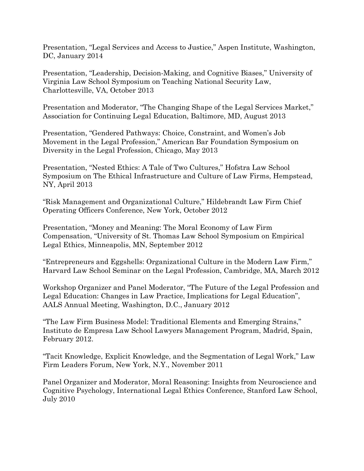Presentation, "Legal Services and Access to Justice," Aspen Institute, Washington, DC, January 2014

Presentation, "Leadership, Decision-Making, and Cognitive Biases," University of Virginia Law School Symposium on Teaching National Security Law, Charlottesville, VA, October 2013

Presentation and Moderator, "The Changing Shape of the Legal Services Market," Association for Continuing Legal Education, Baltimore, MD, August 2013

Presentation, "Gendered Pathways: Choice, Constraint, and Women's Job Movement in the Legal Profession," American Bar Foundation Symposium on Diversity in the Legal Profession, Chicago, May 2013

Presentation, "Nested Ethics: A Tale of Two Cultures," Hofstra Law School Symposium on The Ethical Infrastructure and Culture of Law Firms, Hempstead, NY, April 2013

"Risk Management and Organizational Culture," Hildebrandt Law Firm Chief Operating Officers Conference, New York, October 2012

Presentation, "Money and Meaning: The Moral Economy of Law Firm Compensation, "University of St. Thomas Law School Symposium on Empirical Legal Ethics, Minneapolis, MN, September 2012

"Entrepreneurs and Eggshells: Organizational Culture in the Modern Law Firm," Harvard Law School Seminar on the Legal Profession, Cambridge, MA, March 2012

Workshop Organizer and Panel Moderator, "The Future of the Legal Profession and Legal Education: Changes in Law Practice, Implications for Legal Education", AALS Annual Meeting, Washington, D.C., January 2012

"The Law Firm Business Model: Traditional Elements and Emerging Strains," Instituto de Empresa Law School Lawyers Management Program, Madrid, Spain, February 2012.

"Tacit Knowledge, Explicit Knowledge, and the Segmentation of Legal Work," Law Firm Leaders Forum, New York, N.Y., November 2011

Panel Organizer and Moderator, Moral Reasoning: Insights from Neuroscience and Cognitive Psychology, International Legal Ethics Conference, Stanford Law School, July 2010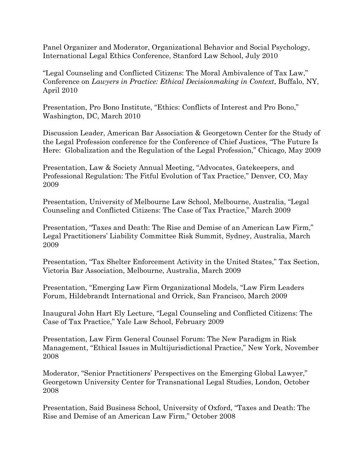Panel Organizer and Moderator, Organizational Behavior and Social Psychology, International Legal Ethics Conference, Stanford Law School, July 2010

"Legal Counseling and Conflicted Citizens: The Moral Ambivalence of Tax Law," Conference on *Lawyers in Practice: Ethical Decisionmaking in Context*, Buffalo, NY, April 2010

Presentation, Pro Bono Institute, "Ethics: Conflicts of Interest and Pro Bono," Washington, DC, March 2010

Discussion Leader, American Bar Association & Georgetown Center for the Study of the Legal Profession conference for the Conference of Chief Justices, "The Future Is Here: Globalization and the Regulation of the Legal Profession," Chicago, May 2009

Presentation, Law & Society Annual Meeting, "Advocates, Gatekeepers, and Professional Regulation: The Fitful Evolution of Tax Practice," Denver, CO, May 2009

Presentation, University of Melbourne Law School, Melbourne, Australia, "Legal Counseling and Conflicted Citizens: The Case of Tax Practice," March 2009

Presentation, "Taxes and Death: The Rise and Demise of an American Law Firm," Legal Practitioners' Liability Committee Risk Summit, Sydney, Australia, March 2009

Presentation, "Tax Shelter Enforcement Activity in the United States," Tax Section, Victoria Bar Association, Melbourne, Australia, March 2009

Presentation, "Emerging Law Firm Organizational Models, "Law Firm Leaders Forum, Hildebrandt International and Orrick, San Francisco, March 2009

Inaugural John Hart Ely Lecture, "Legal Counseling and Conflicted Citizens: The Case of Tax Practice," Yale Law School, February 2009

Presentation, Law Firm General Counsel Forum: The New Paradigm in Risk Management, "Ethical Issues in Multijurisdictional Practice," New York, November 2008

Moderator, "Senior Practitioners' Perspectives on the Emerging Global Lawyer," Georgetown University Center for Transnational Legal Studies, London, October 2008

Presentation, Said Business School, University of Oxford, "Taxes and Death: The Rise and Demise of an American Law Firm," October 2008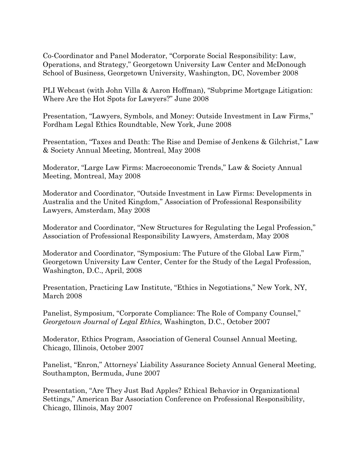Co-Coordinator and Panel Moderator, "Corporate Social Responsibility: Law, Operations, and Strategy," Georgetown University Law Center and McDonough School of Business, Georgetown University, Washington, DC, November 2008

PLI Webcast (with John Villa & Aaron Hoffman), "Subprime Mortgage Litigation: Where Are the Hot Spots for Lawyers?" June 2008

Presentation, "Lawyers, Symbols, and Money: Outside Investment in Law Firms," Fordham Legal Ethics Roundtable, New York, June 2008

Presentation, "Taxes and Death: The Rise and Demise of Jenkens & Gilchrist," Law & Society Annual Meeting, Montreal, May 2008

Moderator, "Large Law Firms: Macroeconomic Trends," Law & Society Annual Meeting, Montreal, May 2008

Moderator and Coordinator, "Outside Investment in Law Firms: Developments in Australia and the United Kingdom," Association of Professional Responsibility Lawyers, Amsterdam, May 2008

Moderator and Coordinator, "New Structures for Regulating the Legal Profession," Association of Professional Responsibility Lawyers, Amsterdam, May 2008

Moderator and Coordinator, "Symposium: The Future of the Global Law Firm," Georgetown University Law Center, Center for the Study of the Legal Profession, Washington, D.C., April, 2008

Presentation, Practicing Law Institute, "Ethics in Negotiations," New York, NY, March 2008

Panelist, Symposium, "Corporate Compliance: The Role of Company Counsel," *Georgetown Journal of Legal Ethics,* Washington, D.C., October 2007

Moderator, Ethics Program, Association of General Counsel Annual Meeting, Chicago, Illinois, October 2007

Panelist, "Enron," Attorneys' Liability Assurance Society Annual General Meeting, Southampton, Bermuda, June 2007

Presentation, "Are They Just Bad Apples? Ethical Behavior in Organizational Settings," American Bar Association Conference on Professional Responsibility, Chicago, Illinois, May 2007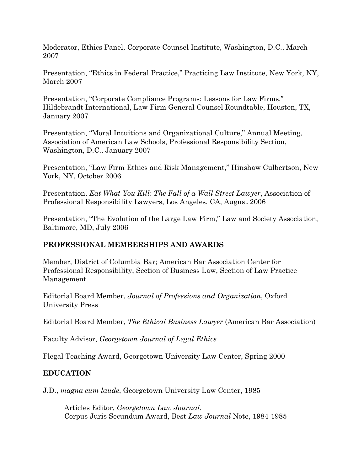Moderator, Ethics Panel, Corporate Counsel Institute, Washington, D.C., March 2007

Presentation, "Ethics in Federal Practice," Practicing Law Institute, New York, NY, March 2007

Presentation, "Corporate Compliance Programs: Lessons for Law Firms," Hildebrandt International, Law Firm General Counsel Roundtable, Houston, TX, January 2007

Presentation, "Moral Intuitions and Organizational Culture," Annual Meeting, Association of American Law Schools, Professional Responsibility Section, Washington, D.C., January 2007

Presentation, "Law Firm Ethics and Risk Management," Hinshaw Culbertson, New York, NY, October 2006

Presentation, *Eat What You Kill: The Fall of a Wall Street Lawyer*, Association of Professional Responsibility Lawyers, Los Angeles, CA, August 2006

Presentation, "The Evolution of the Large Law Firm," Law and Society Association, Baltimore, MD, July 2006

## **PROFESSIONAL MEMBERSHIPS AND AWARDS**

Member, District of Columbia Bar; American Bar Association Center for Professional Responsibility, Section of Business Law, Section of Law Practice Management

Editorial Board Member, *Journal of Professions and Organization*, Oxford University Press

Editorial Board Member, *The Ethical Business Lawyer* (American Bar Association)

Faculty Advisor, *Georgetown Journal of Legal Ethics*

Flegal Teaching Award, Georgetown University Law Center, Spring 2000

# **EDUCATION**

J.D., *magna cum laude*, Georgetown University Law Center, 1985

Articles Editor, *Georgetown Law Journal*. Corpus Juris Secundum Award, Best *Law Journal* Note, 1984-1985